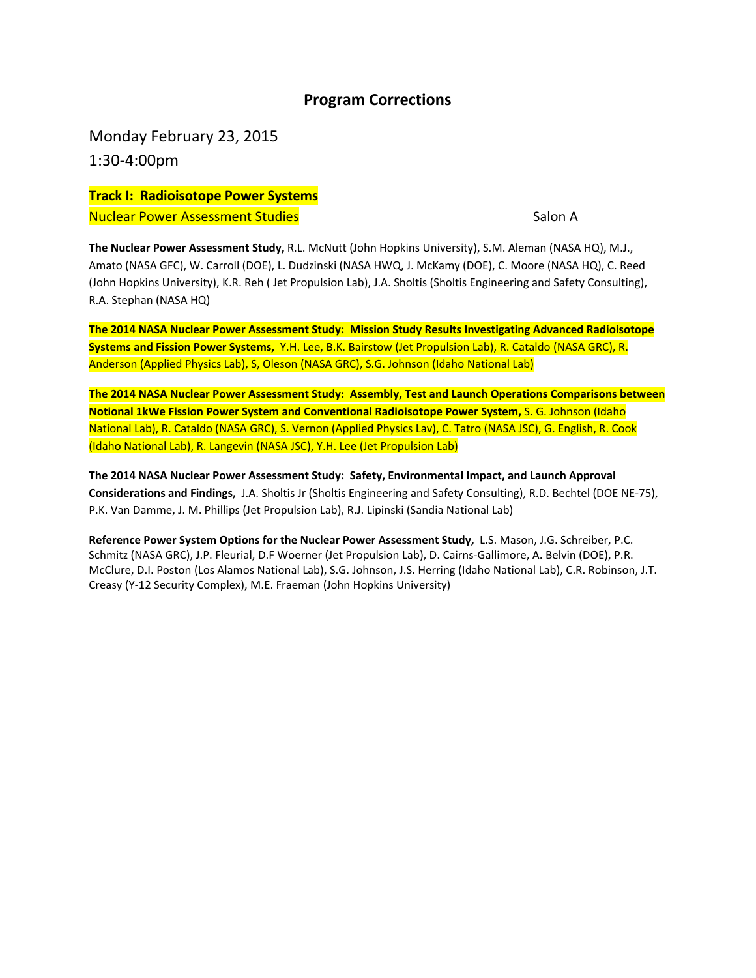## **Program Corrections**

Monday February 23, 2015 1:30‐4:00pm

**Track I: Radioisotope Power Systems** Nuclear Power Assessment Studies Salon A

**The Nuclear Power Assessment Study,** R.L. McNutt (John Hopkins University), S.M. Aleman (NASA HQ), M.J., Amato (NASA GFC), W. Carroll (DOE), L. Dudzinski (NASA HWQ, J. McKamy (DOE), C. Moore (NASA HQ), C. Reed (John Hopkins University), K.R. Reh ( Jet Propulsion Lab), J.A. Sholtis (Sholtis Engineering and Safety Consulting), R.A. Stephan (NASA HQ)

**The 2014 NASA Nuclear Power Assessment Study: Mission Study Results Investigating Advanced Radioisotope Systems and Fission Power Systems,** Y.H. Lee, B.K. Bairstow (Jet Propulsion Lab), R. Cataldo (NASA GRC), R. Anderson (Applied Physics Lab), S, Oleson (NASA GRC), S.G. Johnson (Idaho National Lab)

**The 2014 NASA Nuclear Power Assessment Study: Assembly, Test and Launch Operations Comparisons between Notional 1kWe Fission Power System and Conventional Radioisotope Power System,** S. G. Johnson (Idaho National Lab), R. Cataldo (NASA GRC), S. Vernon (Applied Physics Lav), C. Tatro (NASA JSC), G. English, R. Cook (Idaho National Lab), R. Langevin (NASA JSC), Y.H. Lee (Jet Propulsion Lab)

**The 2014 NASA Nuclear Power Assessment Study: Safety, Environmental Impact, and Launch Approval Considerations and Findings,** J.A. Sholtis Jr (Sholtis Engineering and Safety Consulting), R.D. Bechtel (DOE NE‐75), P.K. Van Damme, J. M. Phillips (Jet Propulsion Lab), R.J. Lipinski (Sandia National Lab)

**Reference Power System Options for the Nuclear Power Assessment Study,** L.S. Mason, J.G. Schreiber, P.C. Schmitz (NASA GRC), J.P. Fleurial, D.F Woerner (Jet Propulsion Lab), D. Cairns‐Gallimore, A. Belvin (DOE), P.R. McClure, D.I. Poston (Los Alamos National Lab), S.G. Johnson, J.S. Herring (Idaho National Lab), C.R. Robinson, J.T. Creasy (Y‐12 Security Complex), M.E. Fraeman (John Hopkins University)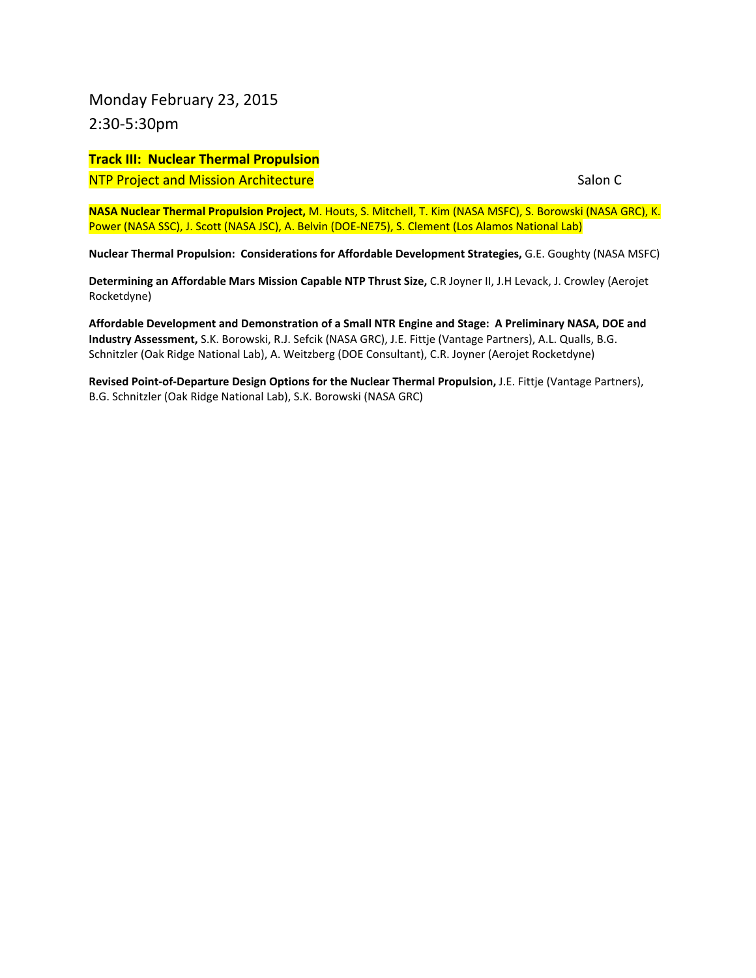Monday February 23, 2015 2:30‐5:30pm

### **Track III: Nuclear Thermal Propulsion** NTP Project and Mission Architecture Salon C

**NASA Nuclear Thermal Propulsion Project,** M. Houts, S. Mitchell, T. Kim (NASA MSFC), S. Borowski (NASA GRC), K. Power (NASA SSC), J. Scott (NASA JSC), A. Belvin (DOE‐NE75), S. Clement (Los Alamos National Lab)

**Nuclear Thermal Propulsion: Considerations for Affordable Development Strategies,** G.E. Goughty (NASA MSFC)

**Determining an Affordable Mars Mission Capable NTP Thrust Size,** C.R Joyner II, J.H Levack, J. Crowley (Aerojet Rocketdyne)

**Affordable Development and Demonstration of a Small NTR Engine and Stage: A Preliminary NASA, DOE and Industry Assessment,** S.K. Borowski, R.J. Sefcik (NASA GRC), J.E. Fittje (Vantage Partners), A.L. Qualls, B.G. Schnitzler (Oak Ridge National Lab), A. Weitzberg (DOE Consultant), C.R. Joyner (Aerojet Rocketdyne)

**Revised Point‐of‐Departure Design Options for the Nuclear Thermal Propulsion,** J.E. Fittje (Vantage Partners), B.G. Schnitzler (Oak Ridge National Lab), S.K. Borowski (NASA GRC)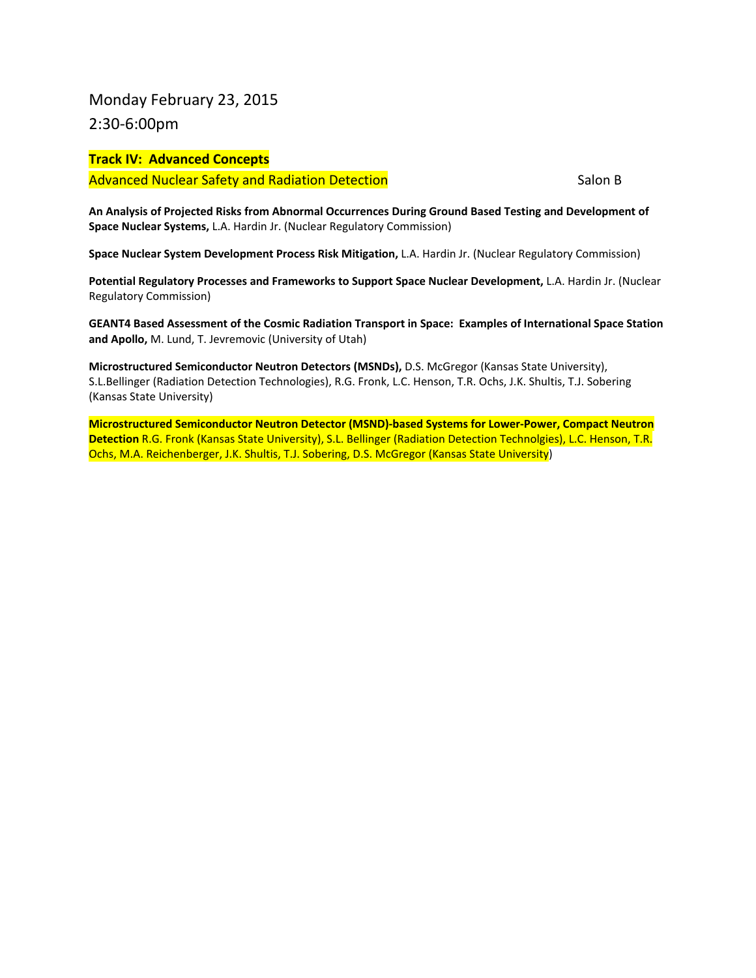## Monday February 23, 2015 2:30‐6:00pm

#### **Track IV: Advanced Concepts**

Advanced Nuclear Safety and Radiation Detection **Salon B** Salon B

**An Analysis of Projected Risks from Abnormal Occurrences During Ground Based Testing and Development of Space Nuclear Systems,** L.A. Hardin Jr. (Nuclear Regulatory Commission)

**Space Nuclear System Development Process Risk Mitigation,** L.A. Hardin Jr. (Nuclear Regulatory Commission)

**Potential Regulatory Processes and Frameworks to Support Space Nuclear Development,** L.A. Hardin Jr. (Nuclear Regulatory Commission)

**GEANT4 Based Assessment of the Cosmic Radiation Transport in Space: Examples of International Space Station and Apollo,** M. Lund, T. Jevremovic (University of Utah)

**Microstructured Semiconductor Neutron Detectors (MSNDs),** D.S. McGregor (Kansas State University), S.L.Bellinger (Radiation Detection Technologies), R.G. Fronk, L.C. Henson, T.R. Ochs, J.K. Shultis, T.J. Sobering (Kansas State University)

**Microstructured Semiconductor Neutron Detector (MSND)‐based Systems for Lower‐Power, Compact Neutron Detection** R.G. Fronk (Kansas State University), S.L. Bellinger (Radiation Detection Technolgies), L.C. Henson, T.R. Ochs, M.A. Reichenberger, J.K. Shultis, T.J. Sobering, D.S. McGregor (Kansas State University)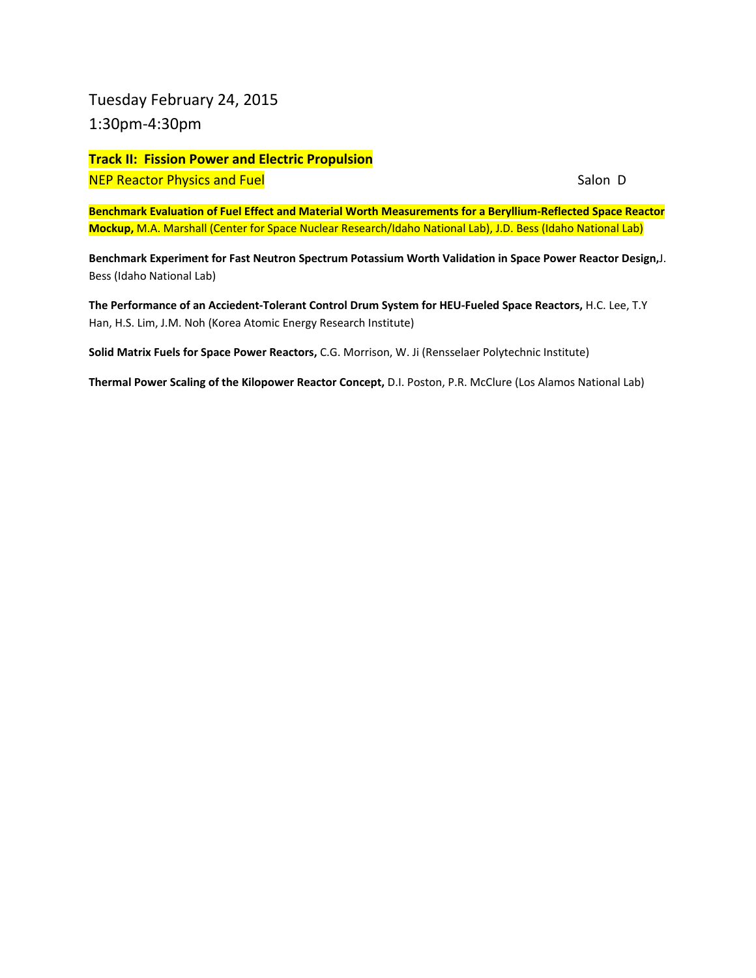Tuesday February 24, 2015 1:30pm‐4:30pm

**Track II: Fission Power and Electric Propulsion** NEP Reactor Physics and Fuel **Exercise Security Contract Contract Contract Contract Contract Contract Contract Contract Contract Contract Contract Contract Contract Contract Contract Contract Contract Contract Contract Con** 

**Benchmark Evaluation of Fuel Effect and Material Worth Measurements for a Beryllium‐Reflected Space Reactor Mockup,** M.A. Marshall (Center for Space Nuclear Research/Idaho National Lab), J.D. Bess (Idaho National Lab)

**Benchmark Experiment for Fast Neutron Spectrum Potassium Worth Validation in Space Power Reactor Design,**J. Bess (Idaho National Lab)

**The Performance of an Acciedent‐Tolerant Control Drum System for HEU‐Fueled Space Reactors,** H.C. Lee, T.Y Han, H.S. Lim, J.M. Noh (Korea Atomic Energy Research Institute)

**Solid Matrix Fuels for Space Power Reactors,** C.G. Morrison, W. Ji (Rensselaer Polytechnic Institute)

**Thermal Power Scaling of the Kilopower Reactor Concept,** D.I. Poston, P.R. McClure (Los Alamos National Lab)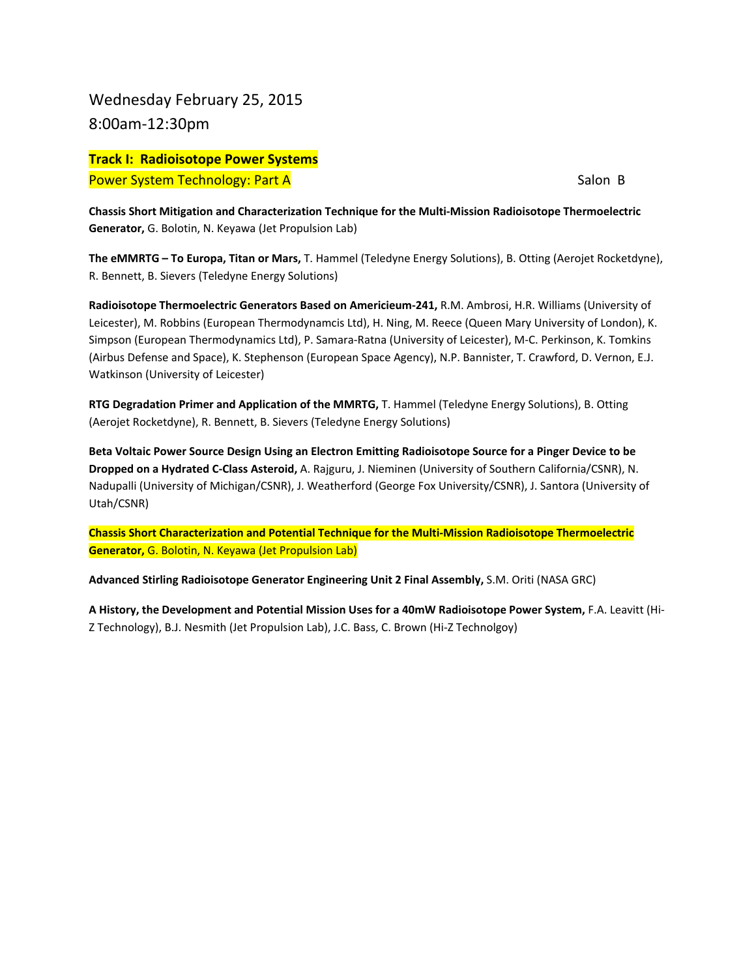Wednesday February 25, 2015 8:00am‐12:30pm

**Track I: Radioisotope Power Systems** Power System Technology: Part A Salon B

**Chassis Short Mitigation and Characterization Technique for the Multi‐Mission Radioisotope Thermoelectric Generator,** G. Bolotin, N. Keyawa (Jet Propulsion Lab)

**The eMMRTG – To Europa, Titan or Mars,** T. Hammel (Teledyne Energy Solutions), B. Otting (Aerojet Rocketdyne), R. Bennett, B. Sievers (Teledyne Energy Solutions)

**Radioisotope Thermoelectric Generators Based on Americieum‐241,** R.M. Ambrosi, H.R. Williams (University of Leicester), M. Robbins (European Thermodynamcis Ltd), H. Ning, M. Reece (Queen Mary University of London), K. Simpson (European Thermodynamics Ltd), P. Samara‐Ratna (University of Leicester), M‐C. Perkinson, K. Tomkins (Airbus Defense and Space), K. Stephenson (European Space Agency), N.P. Bannister, T. Crawford, D. Vernon, E.J. Watkinson (University of Leicester)

**RTG Degradation Primer and Application of the MMRTG,** T. Hammel (Teledyne Energy Solutions), B. Otting (Aerojet Rocketdyne), R. Bennett, B. Sievers (Teledyne Energy Solutions)

**Beta Voltaic Power Source Design Using an Electron Emitting Radioisotope Source for a Pinger Device to be Dropped on a Hydrated C‐Class Asteroid,** A. Rajguru, J. Nieminen (University of Southern California/CSNR), N. Nadupalli (University of Michigan/CSNR), J. Weatherford (George Fox University/CSNR), J. Santora (University of Utah/CSNR)

**Chassis Short Characterization and Potential Technique for the Multi‐Mission Radioisotope Thermoelectric Generator,** G. Bolotin, N. Keyawa (Jet Propulsion Lab)

**Advanced Stirling Radioisotope Generator Engineering Unit 2 Final Assembly,** S.M. Oriti (NASA GRC)

**A History, the Development and Potential Mission Uses for a 40mW Radioisotope Power System,** F.A. Leavitt (Hi‐ Z Technology), B.J. Nesmith (Jet Propulsion Lab), J.C. Bass, C. Brown (Hi‐Z Technolgoy)